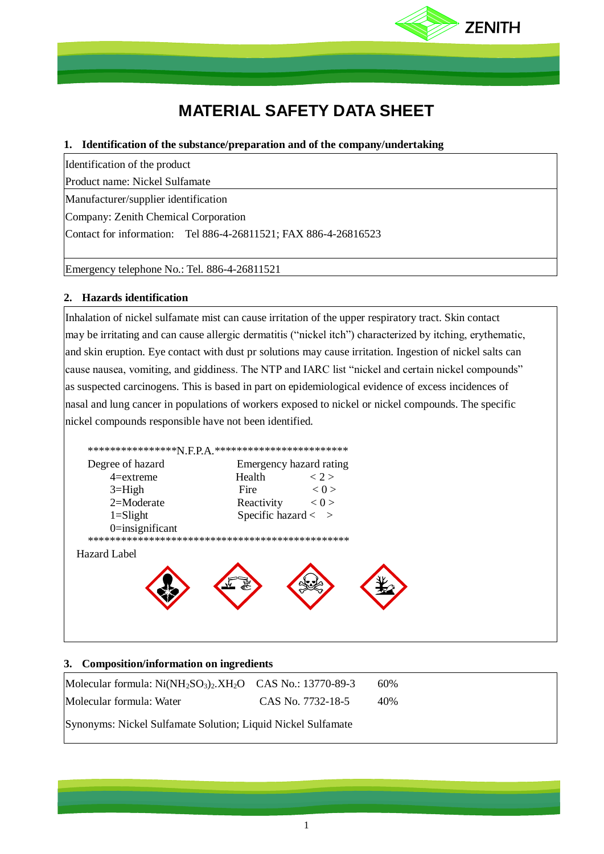

# **MATERIAL SAFETY DATA SHEET**

# **1. Identification of the substance/preparation and of the company/undertaking**

Identification of the product

Product name: Nickel Sulfamate

Manufacturer/supplier identification

Company: Zenith Chemical Corporation

Contact for information: Tel 886-4-26811521; FAX 886-4-26816523

Emergency telephone No.: Tel. 886-4-26811521

# **2. Hazards identification**

Inhalation of nickel sulfamate mist can cause irritation of the upper respiratory tract. Skin contact may be irritating and can cause allergic dermatitis ("nickel itch") characterized by itching, erythematic, and skin eruption. Eye contact with dust pr solutions may cause irritation. Ingestion of nickel salts can cause nausea, vomiting, and giddiness. The NTP and IARC list "nickel and certain nickel compounds" as suspected carcinogens. This is based in part on epidemiological evidence of excess incidences of nasal and lung cancer in populations of workers exposed to nickel or nickel compounds. The specific nickel compounds responsible have not been identified.



# **3. Composition/information on ingredients**

| Molecular formula: $Ni(NH_2SO_3)_2. XH_2O$ CAS No.: 13770-89-3 |                   | 60% |  |
|----------------------------------------------------------------|-------------------|-----|--|
| Molecular formula: Water                                       | CAS No. 7732-18-5 | 40% |  |
| Synonyms: Nickel Sulfamate Solution; Liquid Nickel Sulfamate   |                   |     |  |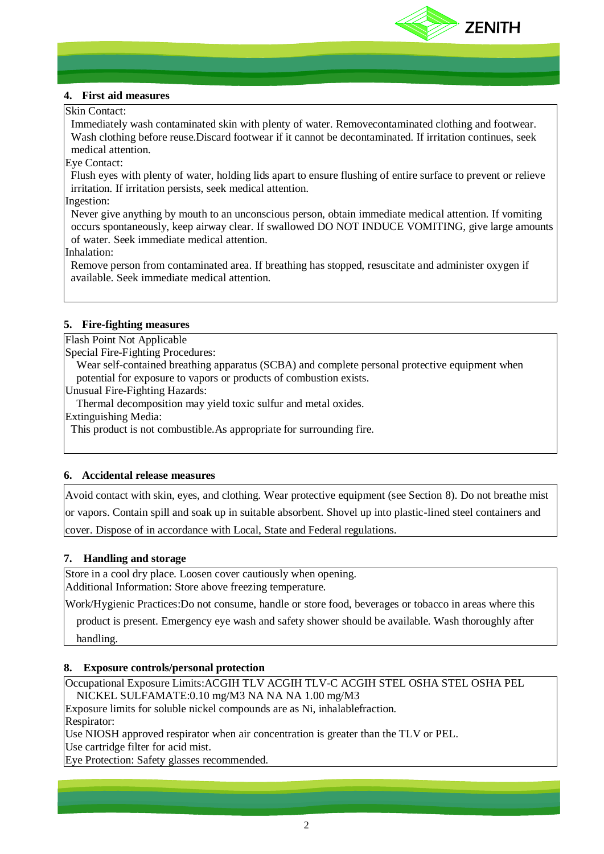

## **4. First aid measures**

## Skin Contact:

Immediately wash contaminated skin with plenty of water. Removecontaminated clothing and footwear. Wash clothing before reuse.Discard footwear if it cannot be decontaminated. If irritation continues, seek medical attention.

## Eye Contact:

Flush eyes with plenty of water, holding lids apart to ensure flushing of entire surface to prevent or relieve irritation. If irritation persists, seek medical attention.

## Ingestion:

Never give anything by mouth to an unconscious person, obtain immediate medical attention. If vomiting occurs spontaneously, keep airway clear. If swallowed DO NOT INDUCE VOMITING, give large amounts of water. Seek immediate medical attention.

Inhalation:

Remove person from contaminated area. If breathing has stopped, resuscitate and administer oxygen if available. Seek immediate medical attention.

# **5. Fire-fighting measures**

Flash Point Not Applicable

Special Fire-Fighting Procedures:

Wear self-contained breathing apparatus (SCBA) and complete personal protective equipment when potential for exposure to vapors or products of combustion exists.

Unusual Fire-Fighting Hazards:

Thermal decomposition may yield toxic sulfur and metal oxides.

Extinguishing Media:

This product is not combustible.As appropriate for surrounding fire.

# **6. Accidental release measures**

Avoid contact with skin, eyes, and clothing. Wear protective equipment (see Section 8). Do not breathe mist or vapors. Contain spill and soak up in suitable absorbent. Shovel up into plastic-lined steel containers and cover. Dispose of in accordance with Local, State and Federal regulations.

## **7. Handling and storage**

Store in a cool dry place. Loosen cover cautiously when opening. Additional Information: Store above freezing temperature.

Work/Hygienic Practices:Do not consume, handle or store food, beverages or tobacco in areas where this

product is present. Emergency eye wash and safety shower should be available. Wash thoroughly after handling.

# **8. Exposure controls/personal protection**

Occupational Exposure Limits:ACGIH TLV ACGIH TLV-C ACGIH STEL OSHA STEL OSHA PEL NICKEL SULFAMATE:0.10 mg/M3 NA NA NA 1.00 mg/M3

Exposure limits for soluble nickel compounds are as Ni, inhalablefraction.

Respirator:

Use NIOSH approved respirator when air concentration is greater than the TLV or PEL.

Use cartridge filter for acid mist.

Eye Protection: Safety glasses recommended.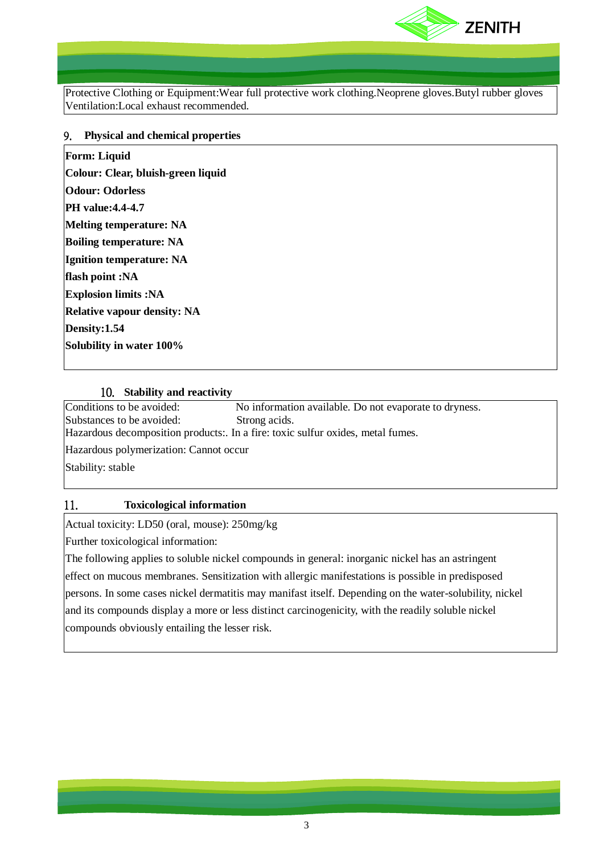

Protective Clothing or Equipment:Wear full protective work clothing.Neoprene gloves.Butyl rubber gloves Ventilation:Local exhaust recommended.

## 9. **Physical and chemical properties**

| <b>Form: Liquid</b>                |
|------------------------------------|
| Colour: Clear, bluish-green liquid |
| <b>Odour: Odorless</b>             |
| <b>PH</b> value: 4.4-4.7           |
| <b>Melting temperature: NA</b>     |
| <b>Boiling temperature: NA</b>     |
| <b>Ignition temperature: NA</b>    |
| flash point :NA                    |
| <b>Explosion limits:NA</b>         |
| <b>Relative vapour density: NA</b> |
| Density:1.54                       |
| Solubility in water 100%           |

## 10. **Stability and reactivity**

Conditions to be avoided: No information available. Do not evaporate to dryness. Substances to be avoided: Strong acids.

Hazardous decomposition products:. In a fire: toxic sulfur oxides, metal fumes.

Hazardous polymerization: Cannot occur

Stability: stable

# 11. **Toxicological information**

Actual toxicity: LD50 (oral, mouse): 250mg/kg

Further toxicological information:

The following applies to soluble nickel compounds in general: inorganic nickel has an astringent effect on mucous membranes. Sensitization with allergic manifestations is possible in predisposed persons. In some cases nickel dermatitis may manifast itself. Depending on the water-solubility, nickel and its compounds display a more or less distinct carcinogenicity, with the readily soluble nickel compounds obviously entailing the lesser risk.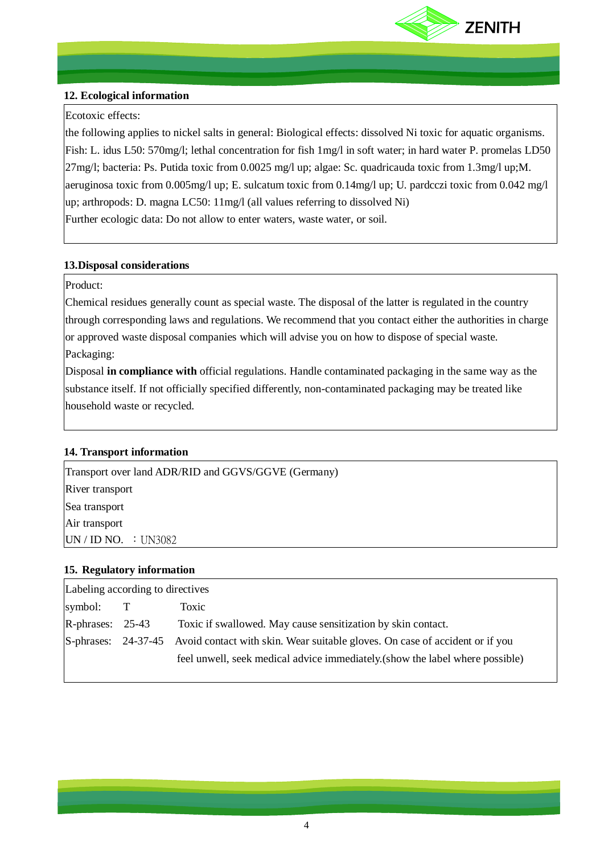

# **12. Ecological information**

# Ecotoxic effects:

the following applies to nickel salts in general: Biological effects: dissolved Ni toxic for aquatic organisms. Fish: L. idus L50: 570mg/l; lethal concentration for fish 1mg/l in soft water; in hard water P. promelas LD50 27mg/l; bacteria: Ps. Putida toxic from 0.0025 mg/l up; algae: Sc. quadricauda toxic from 1.3mg/l up;M. aeruginosa toxic from 0.005mg/l up; E. sulcatum toxic from 0.14mg/l up; U. pardcczi toxic from 0.042 mg/l up; arthropods: D. magna LC50: 11mg/l (all values referring to dissolved Ni) Further ecologic data: Do not allow to enter waters, waste water, or soil.

# **13.Disposal considerations**

# Product:

Chemical residues generally count as special waste. The disposal of the latter is regulated in the country through corresponding laws and regulations. We recommend that you contact either the authorities in charge or approved waste disposal companies which will advise you on how to dispose of special waste. Packaging:

Disposal **in compliance with** official regulations. Handle contaminated packaging in the same way as the substance itself. If not officially specified differently, non-contaminated packaging may be treated like household waste or recycled.

## **14. Transport information**

 $UN / ID NO. : UN3082$ Transport over land ADR/RID and GGVS/GGVE (Germany) River transport Sea transport Air transport

## **15. Regulatory information**

| Labeling according to directives |              |                                                                                                  |
|----------------------------------|--------------|--------------------------------------------------------------------------------------------------|
| symbol:                          | $\mathbf{T}$ | Toxic                                                                                            |
| $R$ -phrases: 25-43              |              | Toxic if swallowed. May cause sensitization by skin contact.                                     |
|                                  |              | S-phrases: 24-37-45 Avoid contact with skin. Wear suitable gloves. On case of accident or if you |
|                                  |              | feel unwell, seek medical advice immediately (show the label where possible)                     |
|                                  |              |                                                                                                  |